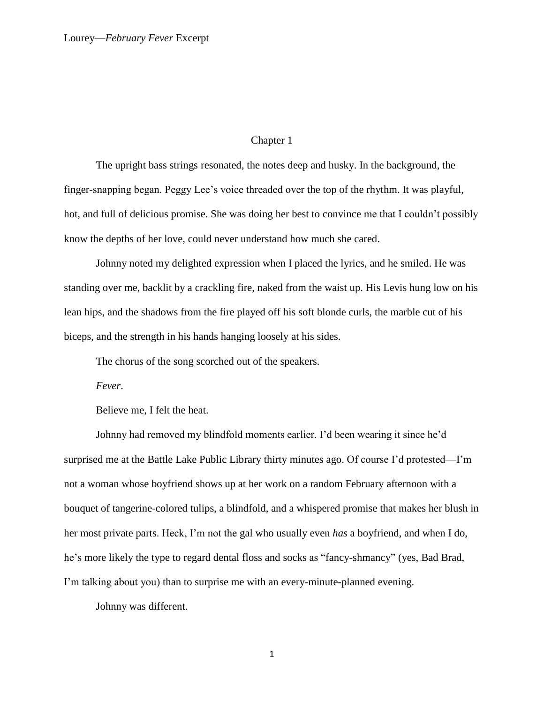### Chapter 1

The upright bass strings resonated, the notes deep and husky. In the background, the finger-snapping began. Peggy Lee's voice threaded over the top of the rhythm. It was playful, hot, and full of delicious promise. She was doing her best to convince me that I couldn't possibly know the depths of her love, could never understand how much she cared.

Johnny noted my delighted expression when I placed the lyrics, and he smiled. He was standing over me, backlit by a crackling fire, naked from the waist up. His Levis hung low on his lean hips, and the shadows from the fire played off his soft blonde curls, the marble cut of his biceps, and the strength in his hands hanging loosely at his sides.

The chorus of the song scorched out of the speakers.

*Fever*.

Believe me, I felt the heat.

Johnny had removed my blindfold moments earlier. I'd been wearing it since he'd surprised me at the Battle Lake Public Library thirty minutes ago. Of course I'd protested—I'm not a woman whose boyfriend shows up at her work on a random February afternoon with a bouquet of tangerine-colored tulips, a blindfold, and a whispered promise that makes her blush in her most private parts. Heck, I'm not the gal who usually even *has* a boyfriend, and when I do, he's more likely the type to regard dental floss and socks as "fancy-shmancy" (yes, Bad Brad, I'm talking about you) than to surprise me with an every-minute-planned evening.

Johnny was different.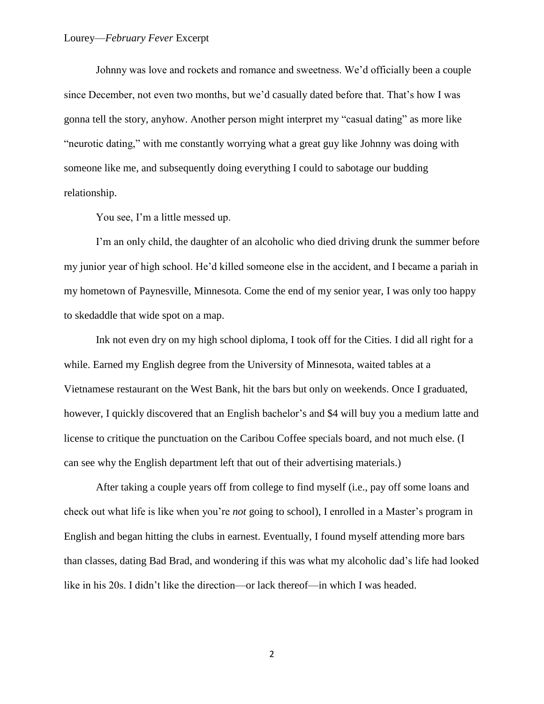Johnny was love and rockets and romance and sweetness. We'd officially been a couple since December, not even two months, but we'd casually dated before that. That's how I was gonna tell the story, anyhow. Another person might interpret my "casual dating" as more like "neurotic dating," with me constantly worrying what a great guy like Johnny was doing with someone like me, and subsequently doing everything I could to sabotage our budding relationship.

You see, I'm a little messed up.

I'm an only child, the daughter of an alcoholic who died driving drunk the summer before my junior year of high school. He'd killed someone else in the accident, and I became a pariah in my hometown of Paynesville, Minnesota. Come the end of my senior year, I was only too happy to skedaddle that wide spot on a map.

Ink not even dry on my high school diploma, I took off for the Cities. I did all right for a while. Earned my English degree from the University of Minnesota, waited tables at a Vietnamese restaurant on the West Bank, hit the bars but only on weekends. Once I graduated, however, I quickly discovered that an English bachelor's and \$4 will buy you a medium latte and license to critique the punctuation on the Caribou Coffee specials board, and not much else. (I can see why the English department left that out of their advertising materials.)

After taking a couple years off from college to find myself (i.e., pay off some loans and check out what life is like when you're *not* going to school), I enrolled in a Master's program in English and began hitting the clubs in earnest. Eventually, I found myself attending more bars than classes, dating Bad Brad, and wondering if this was what my alcoholic dad's life had looked like in his 20s. I didn't like the direction—or lack thereof—in which I was headed.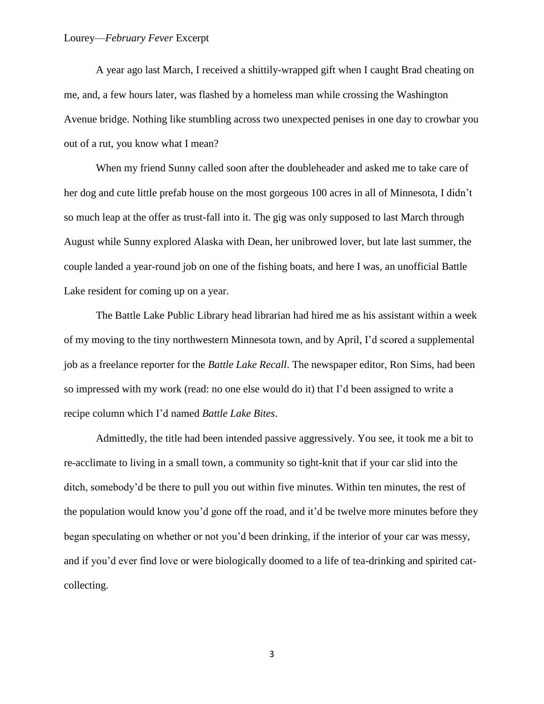# Lourey—*February Fever* Excerpt

A year ago last March, I received a shittily-wrapped gift when I caught Brad cheating on me, and, a few hours later, was flashed by a homeless man while crossing the Washington Avenue bridge. Nothing like stumbling across two unexpected penises in one day to crowbar you out of a rut, you know what I mean?

When my friend Sunny called soon after the doubleheader and asked me to take care of her dog and cute little prefab house on the most gorgeous 100 acres in all of Minnesota, I didn't so much leap at the offer as trust-fall into it. The gig was only supposed to last March through August while Sunny explored Alaska with Dean, her unibrowed lover, but late last summer, the couple landed a year-round job on one of the fishing boats, and here I was, an unofficial Battle Lake resident for coming up on a year.

The Battle Lake Public Library head librarian had hired me as his assistant within a week of my moving to the tiny northwestern Minnesota town, and by April, I'd scored a supplemental job as a freelance reporter for the *Battle Lake Recall*. The newspaper editor, Ron Sims, had been so impressed with my work (read: no one else would do it) that I'd been assigned to write a recipe column which I'd named *Battle Lake Bites*.

Admittedly, the title had been intended passive aggressively. You see, it took me a bit to re-acclimate to living in a small town, a community so tight-knit that if your car slid into the ditch, somebody'd be there to pull you out within five minutes. Within ten minutes, the rest of the population would know you'd gone off the road, and it'd be twelve more minutes before they began speculating on whether or not you'd been drinking, if the interior of your car was messy, and if you'd ever find love or were biologically doomed to a life of tea-drinking and spirited catcollecting.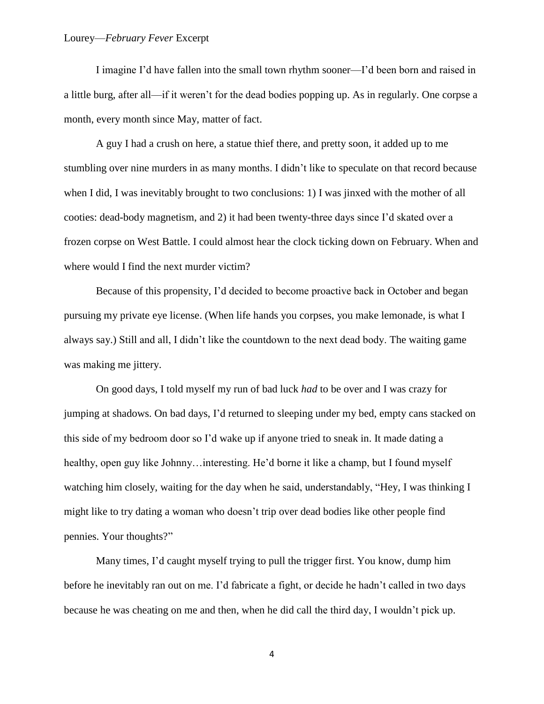I imagine I'd have fallen into the small town rhythm sooner—I'd been born and raised in a little burg, after all—if it weren't for the dead bodies popping up. As in regularly. One corpse a month, every month since May, matter of fact.

A guy I had a crush on here, a statue thief there, and pretty soon, it added up to me stumbling over nine murders in as many months. I didn't like to speculate on that record because when I did, I was inevitably brought to two conclusions: 1) I was jinxed with the mother of all cooties: dead-body magnetism, and 2) it had been twenty-three days since I'd skated over a frozen corpse on West Battle. I could almost hear the clock ticking down on February. When and where would I find the next murder victim?

Because of this propensity, I'd decided to become proactive back in October and began pursuing my private eye license. (When life hands you corpses, you make lemonade, is what I always say.) Still and all, I didn't like the countdown to the next dead body. The waiting game was making me jittery.

On good days, I told myself my run of bad luck *had* to be over and I was crazy for jumping at shadows. On bad days, I'd returned to sleeping under my bed, empty cans stacked on this side of my bedroom door so I'd wake up if anyone tried to sneak in. It made dating a healthy, open guy like Johnny…interesting. He'd borne it like a champ, but I found myself watching him closely, waiting for the day when he said, understandably, "Hey, I was thinking I might like to try dating a woman who doesn't trip over dead bodies like other people find pennies. Your thoughts?"

Many times, I'd caught myself trying to pull the trigger first. You know, dump him before he inevitably ran out on me. I'd fabricate a fight, or decide he hadn't called in two days because he was cheating on me and then, when he did call the third day, I wouldn't pick up.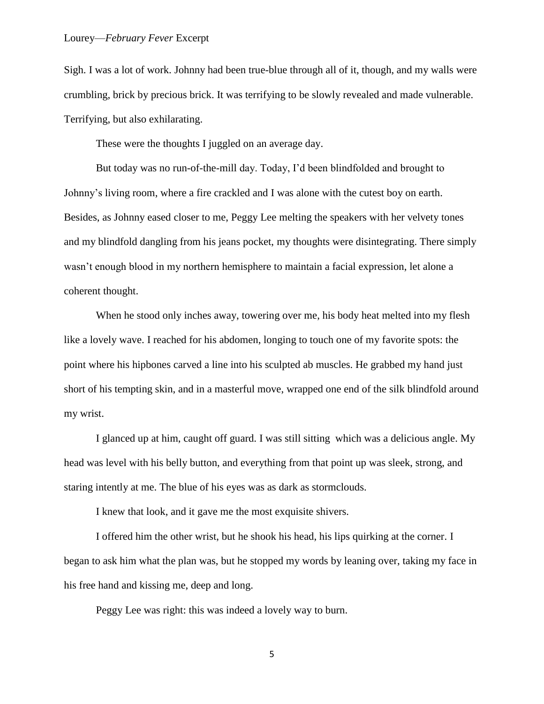Sigh. I was a lot of work. Johnny had been true-blue through all of it, though, and my walls were crumbling, brick by precious brick. It was terrifying to be slowly revealed and made vulnerable. Terrifying, but also exhilarating.

These were the thoughts I juggled on an average day.

But today was no run-of-the-mill day. Today, I'd been blindfolded and brought to Johnny's living room, where a fire crackled and I was alone with the cutest boy on earth. Besides, as Johnny eased closer to me, Peggy Lee melting the speakers with her velvety tones and my blindfold dangling from his jeans pocket, my thoughts were disintegrating. There simply wasn't enough blood in my northern hemisphere to maintain a facial expression, let alone a coherent thought.

When he stood only inches away, towering over me, his body heat melted into my flesh like a lovely wave. I reached for his abdomen, longing to touch one of my favorite spots: the point where his hipbones carved a line into his sculpted ab muscles. He grabbed my hand just short of his tempting skin, and in a masterful move, wrapped one end of the silk blindfold around my wrist.

I glanced up at him, caught off guard. I was still sitting which was a delicious angle. My head was level with his belly button, and everything from that point up was sleek, strong, and staring intently at me. The blue of his eyes was as dark as stormclouds.

I knew that look, and it gave me the most exquisite shivers.

I offered him the other wrist, but he shook his head, his lips quirking at the corner. I began to ask him what the plan was, but he stopped my words by leaning over, taking my face in his free hand and kissing me, deep and long.

Peggy Lee was right: this was indeed a lovely way to burn.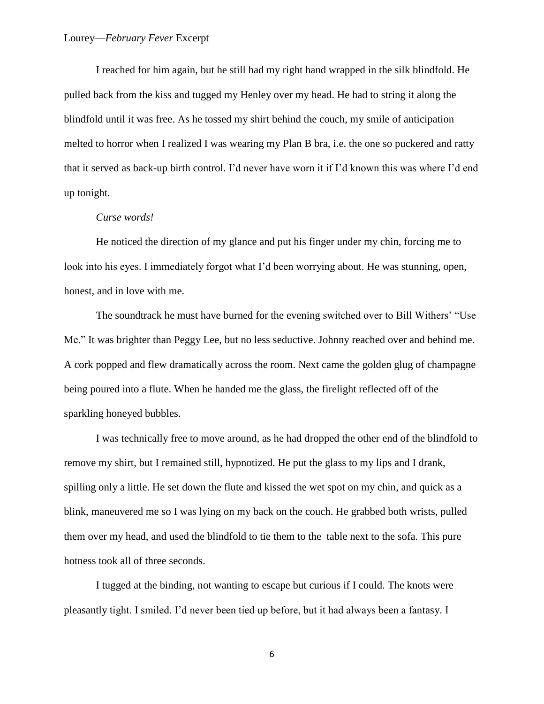I reached for him again, but he still had my right hand wrapped in the silk blindfold. He pulled back from the kiss and tugged my Henley over my head. He had to string it along the blindfold until it was free. As he tossed my shirt behind the couch, my smile of anticipation melted to horror when I realized I was wearing my Plan B bra, i.e. the one so puckered and ratty that it served as back-up birth control. I'd never have worn it if I'd known this was where I'd end up tonight.

# *Curse words!*

He noticed the direction of my glance and put his finger under my chin, forcing me to look into his eyes. I immediately forgot what I'd been worrying about. He was stunning, open, honest, and in love with me.

The soundtrack he must have burned for the evening switched over to Bill Withers' "Use Me." It was brighter than Peggy Lee, but no less seductive. Johnny reached over and behind me. A cork popped and flew dramatically across the room. Next came the golden glug of champagne being poured into a flute. When he handed me the glass, the firelight reflected off of the sparkling honeyed bubbles.

I was technically free to move around, as he had dropped the other end of the blindfold to remove my shirt, but I remained still, hypnotized. He put the glass to my lips and I drank, spilling only a little. He set down the flute and kissed the wet spot on my chin, and quick as a blink, maneuvered me so I was lying on my back on the couch. He grabbed both wrists, pulled them over my head, and used the blindfold to tie them to the table next to the sofa. This pure hotness took all of three seconds.

I tugged at the binding, not wanting to escape but curious if I could. The knots were pleasantly tight. I smiled. I'd never been tied up before, but it had always been a fantasy. I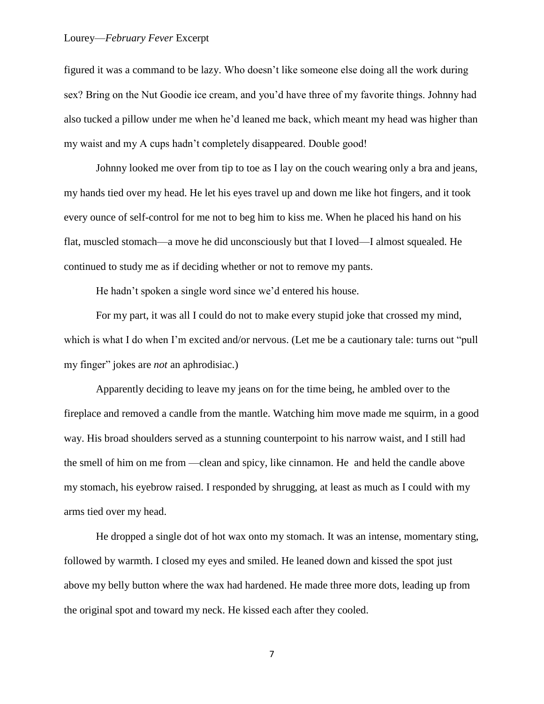#### Lourey—*February Fever* Excerpt

figured it was a command to be lazy. Who doesn't like someone else doing all the work during sex? Bring on the Nut Goodie ice cream, and you'd have three of my favorite things. Johnny had also tucked a pillow under me when he'd leaned me back, which meant my head was higher than my waist and my A cups hadn't completely disappeared. Double good!

Johnny looked me over from tip to toe as I lay on the couch wearing only a bra and jeans, my hands tied over my head. He let his eyes travel up and down me like hot fingers, and it took every ounce of self-control for me not to beg him to kiss me. When he placed his hand on his flat, muscled stomach—a move he did unconsciously but that I loved—I almost squealed. He continued to study me as if deciding whether or not to remove my pants.

He hadn't spoken a single word since we'd entered his house.

For my part, it was all I could do not to make every stupid joke that crossed my mind, which is what I do when I'm excited and/or nervous. (Let me be a cautionary tale: turns out "pull" my finger" jokes are *not* an aphrodisiac.)

Apparently deciding to leave my jeans on for the time being, he ambled over to the fireplace and removed a candle from the mantle. Watching him move made me squirm, in a good way. His broad shoulders served as a stunning counterpoint to his narrow waist, and I still had the smell of him on me from —clean and spicy, like cinnamon. He and held the candle above my stomach, his eyebrow raised. I responded by shrugging, at least as much as I could with my arms tied over my head.

He dropped a single dot of hot wax onto my stomach. It was an intense, momentary sting, followed by warmth. I closed my eyes and smiled. He leaned down and kissed the spot just above my belly button where the wax had hardened. He made three more dots, leading up from the original spot and toward my neck. He kissed each after they cooled.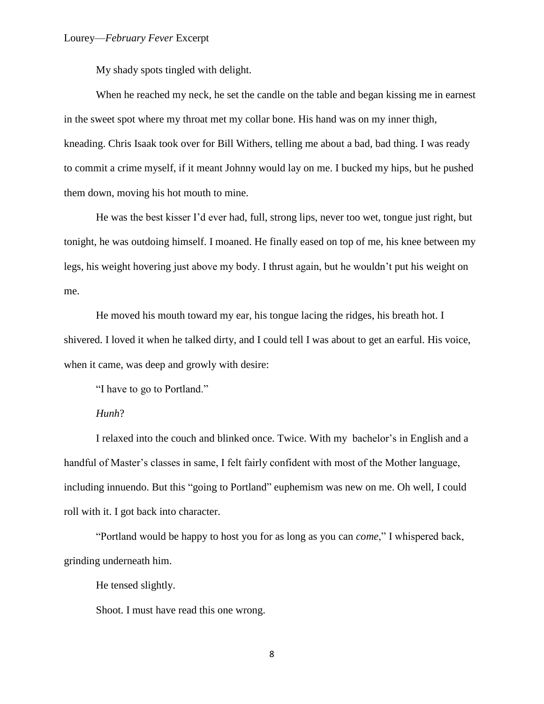My shady spots tingled with delight.

When he reached my neck, he set the candle on the table and began kissing me in earnest in the sweet spot where my throat met my collar bone. His hand was on my inner thigh, kneading. Chris Isaak took over for Bill Withers, telling me about a bad, bad thing. I was ready to commit a crime myself, if it meant Johnny would lay on me. I bucked my hips, but he pushed them down, moving his hot mouth to mine.

He was the best kisser I'd ever had, full, strong lips, never too wet, tongue just right, but tonight, he was outdoing himself. I moaned. He finally eased on top of me, his knee between my legs, his weight hovering just above my body. I thrust again, but he wouldn't put his weight on me.

He moved his mouth toward my ear, his tongue lacing the ridges, his breath hot. I shivered. I loved it when he talked dirty, and I could tell I was about to get an earful. His voice, when it came, was deep and growly with desire:

"I have to go to Portland."

# *Hunh*?

I relaxed into the couch and blinked once. Twice. With my bachelor's in English and a handful of Master's classes in same, I felt fairly confident with most of the Mother language, including innuendo. But this "going to Portland" euphemism was new on me. Oh well, I could roll with it. I got back into character.

"Portland would be happy to host you for as long as you can *come*," I whispered back, grinding underneath him.

He tensed slightly.

Shoot. I must have read this one wrong.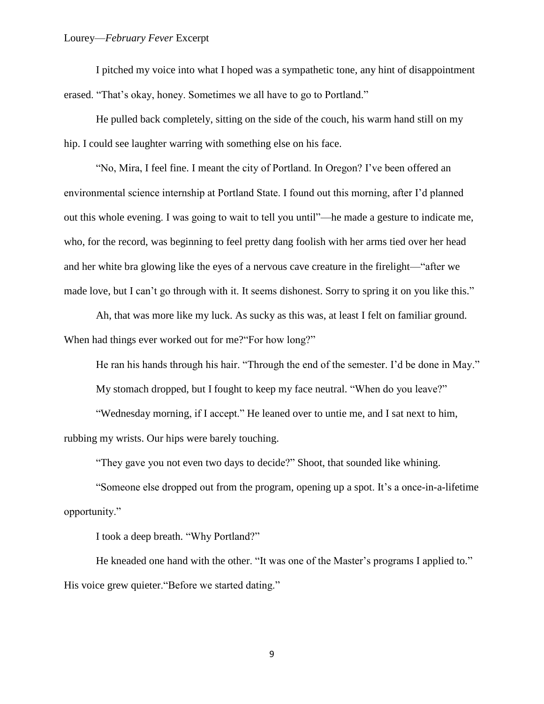I pitched my voice into what I hoped was a sympathetic tone, any hint of disappointment erased. "That's okay, honey. Sometimes we all have to go to Portland."

He pulled back completely, sitting on the side of the couch, his warm hand still on my hip. I could see laughter warring with something else on his face.

"No, Mira, I feel fine. I meant the city of Portland. In Oregon? I've been offered an environmental science internship at Portland State. I found out this morning, after I'd planned out this whole evening. I was going to wait to tell you until"—he made a gesture to indicate me, who, for the record, was beginning to feel pretty dang foolish with her arms tied over her head and her white bra glowing like the eyes of a nervous cave creature in the firelight—"after we made love, but I can't go through with it. It seems dishonest. Sorry to spring it on you like this."

Ah, that was more like my luck. As sucky as this was, at least I felt on familiar ground. When had things ever worked out for me?"For how long?"

He ran his hands through his hair. "Through the end of the semester. I'd be done in May."

My stomach dropped, but I fought to keep my face neutral. "When do you leave?"

"Wednesday morning, if I accept." He leaned over to untie me, and I sat next to him, rubbing my wrists. Our hips were barely touching.

"They gave you not even two days to decide?" Shoot, that sounded like whining.

"Someone else dropped out from the program, opening up a spot. It's a once-in-a-lifetime opportunity."

I took a deep breath. "Why Portland?"

He kneaded one hand with the other. "It was one of the Master's programs I applied to." His voice grew quieter."Before we started dating."